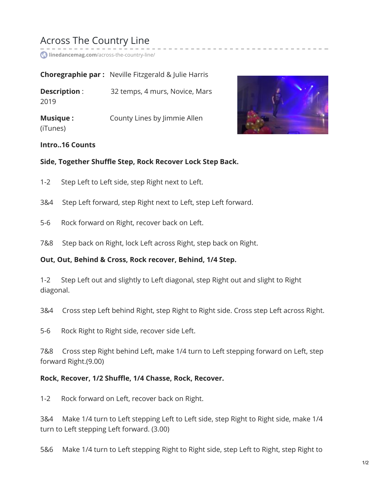# Across The Country Line

**linedancemag.com**[/across-the-country-line/](https://www.linedancemag.com/across-the-country-line/)

|                             | <b>Choregraphie par:</b> Neville Fitzgerald & Julie Harris |
|-----------------------------|------------------------------------------------------------|
| Description:<br>2019        | 32 temps, 4 murs, Novice, Mars                             |
| <b>Musique:</b><br>(iTunes) | County Lines by Jimmie Allen                               |



#### **Intro..16 Counts**

#### **Side, Together Shuffle Step, Rock Recover Lock Step Back.**

- 1-2 Step Left to Left side, step Right next to Left.
- 3&4 Step Left forward, step Right next to Left, step Left forward.
- 5-6 Rock forward on Right, recover back on Left.
- 7&8 Step back on Right, lock Left across Right, step back on Right.

### **Out, Out, Behind & Cross, Rock recover, Behind, 1/4 Step.**

1-2 Step Left out and slightly to Left diagonal, step Right out and slight to Right diagonal.

3&4 Cross step Left behind Right, step Right to Right side. Cross step Left across Right.

5-6 Rock Right to Right side, recover side Left.

7&8 Cross step Right behind Left, make 1/4 turn to Left stepping forward on Left, step forward Right.(9.00)

#### **Rock, Recover, 1/2 Shuffle, 1/4 Chasse, Rock, Recover.**

1-2 Rock forward on Left, recover back on Right.

3&4 Make 1/4 turn to Left stepping Left to Left side, step Right to Right side, make 1/4 turn to Left stepping Left forward. (3.00)

5&6 Make 1/4 turn to Left stepping Right to Right side, step Left to Right, step Right to